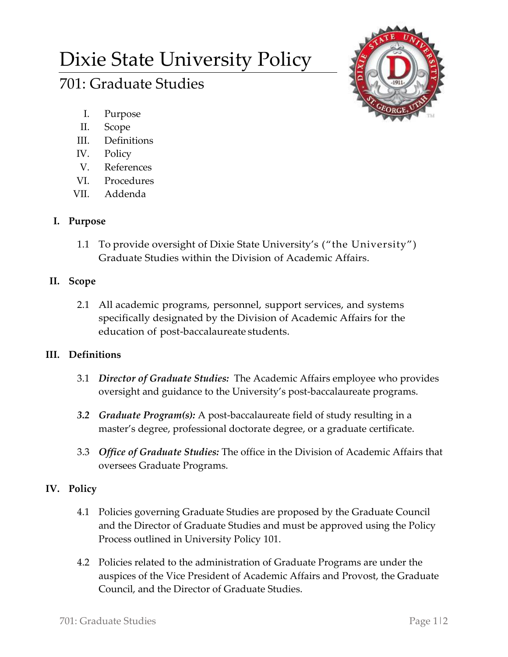# Dixie State University Policy

# 701: Graduate Studies



- I. Purpose
- II. Scope
- III. Definitions
- IV. Policy
- V. References
- VI. Procedures
- VII. Addenda

# **I. Purpose**

1.1 To provide oversight of Dixie State University's ("the University") Graduate Studies within the Division of Academic Affairs.

#### **II. Scope**

2.1 All academic programs, personnel, support services, and systems specifically designated by the Division of Academic Affairs for the education of post-baccalaureate students.

# **III. Definitions**

- 3.1 *Director of Graduate Studies:* The Academic Affairs employee who provides oversight and guidance to the University's post-baccalaureate programs.
- *3.2 Graduate Program(s):* A post-baccalaureate field of study resulting in a master's degree, professional doctorate degree, or a graduate certificate.
- 3.3 *Office of Graduate Studies:* The office in the Division of Academic Affairs that oversees Graduate Programs.

# **IV. Policy**

- 4.1 Policies governing Graduate Studies are proposed by the Graduate Council and the Director of Graduate Studies and must be approved using the Policy Process outlined in University Policy 101.
- 4.2 Policies related to the administration of Graduate Programs are under the auspices of the Vice President of Academic Affairs and Provost, the Graduate Council, and the Director of Graduate Studies.